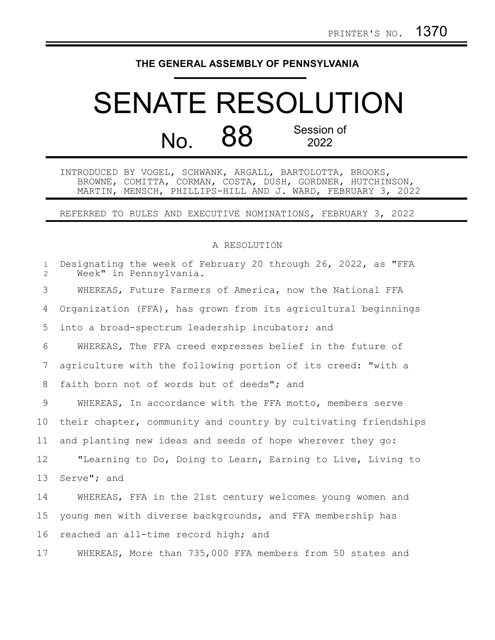## **THE GENERAL ASSEMBLY OF PENNSYLVANIA**

## SENATE RESOLUTION No. 88 Session of 2022

INTRODUCED BY VOGEL, SCHWANK, ARGALL, BARTOLOTTA, BROOKS, BROWNE, COMITTA, CORMAN, COSTA, DUSH, GORDNER, HUTCHINSON, MARTIN, MENSCH, PHILLIPS-HILL AND J. WARD, FEBRUARY 3, 2022

REFERRED TO RULES AND EXECUTIVE NOMINATIONS, FEBRUARY 3, 2022

## A RESOLUTION

| $\mathbf{1}$<br>$\overline{2}$ | Designating the week of February 20 through 26, 2022, as "FFA<br>Week" in Pennsylvania. |
|--------------------------------|-----------------------------------------------------------------------------------------|
| 3                              | WHEREAS, Future Farmers of America, now the National FFA                                |
| 4                              | Organization (FFA), has grown from its agricultural beginnings                          |
| 5                              | into a broad-spectrum leadership incubator; and                                         |
| 6                              | WHEREAS, The FFA creed expresses belief in the future of                                |
| 7                              | agriculture with the following portion of its creed: "with a                            |
| 8                              | faith born not of words but of deeds"; and                                              |
| 9                              | WHEREAS, In accordance with the FFA motto, members serve                                |
| 10 <sub>o</sub>                | their chapter, community and country by cultivating friendships                         |
| 11                             | and planting new ideas and seeds of hope wherever they go:                              |
| 12                             | "Learning to Do, Doing to Learn, Earning to Live, Living to                             |
| 13                             | Serve"; and                                                                             |
| 14                             | WHEREAS, FFA in the 21st century welcomes young women and                               |
| 15                             | young men with diverse backgrounds, and FFA membership has                              |
| 16                             | reached an all-time record high; and                                                    |
| 17                             | WHEREAS, More than 735,000 FFA members from 50 states and                               |